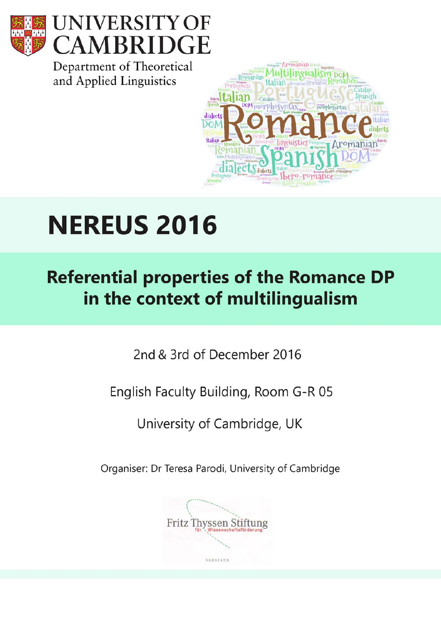



Department of Theoretical and Applied Linguistics



# **NEREUS 2016**

**Referential properties of the Romance DP** in the context of multilingualism

2nd & 3rd of December 2016

English Faculty Building, Room G-R 05

University of Cambridge, UK

Organiser: Dr Teresa Parodi, University of Cambridge

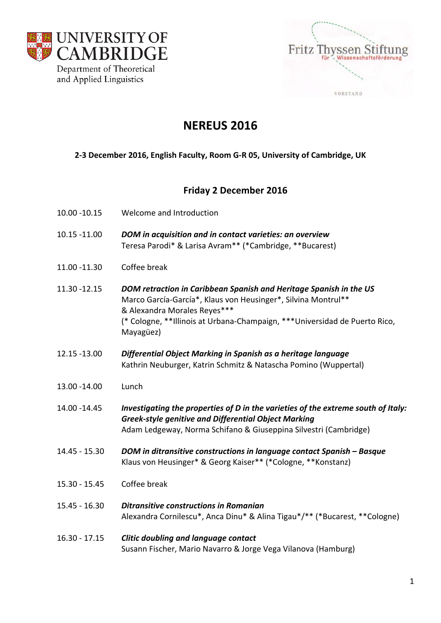



# **NEREUS 2016**

## **2‐3 December 2016, English Faculty, Room G‐R 05, University of Cambridge, UK**

# **Friday 2 December 2016**

- 10.00 ‐10.15 Welcome and Introduction
- 10.15 ‐11.00 *DOM in acquisition and in contact varieties: an overview* Teresa Parodi\* & Larisa Avram\*\* (\*Cambridge, \*\*Bucarest)
- 11.00 ‐11.30 Coffee break
- 11.30 ‐12.15 *DOM retraction in Caribbean Spanish and Heritage Spanish in the US* Marco García‐García\*, Klaus von Heusinger\*, Silvina Montrul\*\* & Alexandra Morales Reyes\*\*\* (\* Cologne, \*\*Illinois at Urbana‐Champaign, \*\*\*Universidad de Puerto Rico, Mayagüez)
- 12.15 ‐13.00 *Differential Object Marking in Spanish as a heritage language* Kathrin Neuburger, Katrin Schmitz & Natascha Pomino (Wuppertal)
- 13.00 ‐14.00 Lunch
- 14.00 ‐14.45 *Investigating the properties of D in the varieties of the extreme south of Italy: Greek‐style genitive and Differential Object Marking* Adam Ledgeway, Norma Schifano & Giuseppina Silvestri (Cambridge)
- 14.45 ‐ 15.30 *DOM in ditransitive constructions in language contact Spanish – Basque* Klaus von Heusinger\* & Georg Kaiser\*\* (\*Cologne, \*\*Konstanz)
- 15.30 ‐ 15.45 Coffee break
- 15.45 ‐ 16.30 *Ditransitive constructions in Romanian* Alexandra Cornilescu\*, Anca Dinu\* & Alina Tigau\*/\*\* (\*Bucarest, \*\*Cologne)
- 16.30 ‐ 17.15 *Clitic doubling and language contact* Susann Fischer, Mario Navarro & Jorge Vega Vilanova (Hamburg)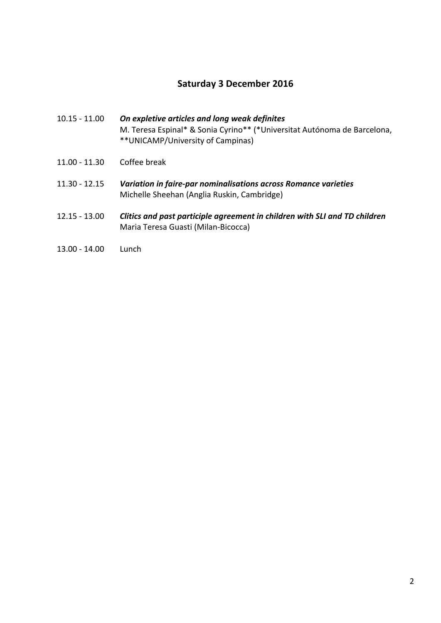## **Saturday 3 December 2016**

- 10.15 ‐ 11.00 *On expletive articles and long weak definites* M. Teresa Espinal\* & Sonia Cyrino\*\* (\*Universitat Autónoma de Barcelona, \*\*UNICAMP/University of Campinas)
- 11.00 ‐ 11.30 Coffee break
- 11.30 ‐ 12.15 *Variation in faire‐par nominalisations across Romance varieties* Michelle Sheehan (Anglia Ruskin, Cambridge)
- 12.15 ‐ 13.00 *Clitics and past participle agreement in children with SLI and TD children* Maria Teresa Guasti (Milan‐Bicocca)
- 13.00 ‐ 14.00 Lunch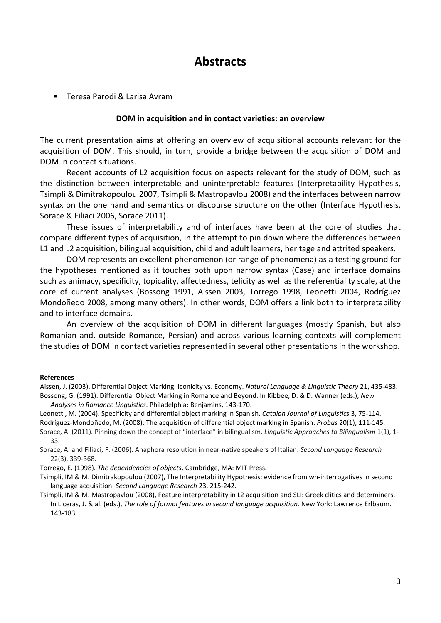# **Abstracts**

■ Teresa Parodi & Larisa Avram

#### **DOM in acquisition and in contact varieties: an overview**

The current presentation aims at offering an overview of acquisitional accounts relevant for the acquisition of DOM. This should, in turn, provide a bridge between the acquisition of DOM and DOM in contact situations.

Recent accounts of L2 acquisition focus on aspects relevant for the study of DOM, such as the distinction between interpretable and uninterpretable features (Interpretability Hypothesis, Tsimpli & Dimitrakopoulou 2007, Tsimpli & Mastropavlou 2008) and the interfaces between narrow syntax on the one hand and semantics or discourse structure on the other (Interface Hypothesis, Sorace & Filiaci 2006, Sorace 2011).

These issues of interpretability and of interfaces have been at the core of studies that compare different types of acquisition, in the attempt to pin down where the differences between L1 and L2 acquisition, bilingual acquisition, child and adult learners, heritage and attrited speakers.

DOM represents an excellent phenomenon (or range of phenomena) as a testing ground for the hypotheses mentioned as it touches both upon narrow syntax (Case) and interface domains such as animacy, specificity, topicality, affectedness, telicity as well as the referentiality scale, at the core of current analyses (Bossong 1991, Aissen 2003, Torrego 1998, Leonetti 2004, Rodríguez Mondoñedo 2008, among many others). In other words, DOM offers a link both to interpretability and to interface domains.

An overview of the acquisition of DOM in different languages (mostly Spanish, but also Romanian and, outside Romance, Persian) and across various learning contexts will complement the studies of DOM in contact varieties represented in several other presentations in the workshop.

#### **References**

Aissen, J. (2003). Differential Object Marking: Iconicity vs. Economy. *Natural Language & Linguistic Theory* 21, 435‐483. Bossong, G. (1991). Differential Object Marking in Romance and Beyond. In Kibbee, D. & D. Wanner (eds.), *New Analyses in Romance Linguistics*. Philadelphia: Benjamins, 143‐170.

Leonetti, M. (2004). Specificity and differential object marking in Spanish. *Catalan Journal of Linguistics* 3, 75‐114. Rodríguez‐Mondoñedo, M. (2008). The acquisition of differential object marking in Spanish. *Probus* 20(1), 111‐145.

Sorace, A. (2011). Pinning down the concept of "interface" in bilingualism. *Linguistic Approaches to Bilingualism* 1(1), 1‐ 33.

Sorace, A. and Filiaci, F. (2006). Anaphora resolution in near‐native speakers of Italian. *Second Language Research* 22(3), 339‐368.

Torrego, E. (1998). *The dependencies of objects*. Cambridge, MA: MIT Press.

Tsimpli, IM & M. Dimitrakopoulou (2007), The Interpretability Hypothesis: evidence from wh‐interrogatives in second language acquisition. *Second Language Research* 23, 215‐242.

Tsimpli, IM & M. Mastropavlou (2008), Feature interpretability in L2 acquisition and SLI: Greek clitics and determiners. In Liceras, J. & al. (eds.), *The role of formal features in second language acquisition.* New York: Lawrence Erlbaum. 143‐183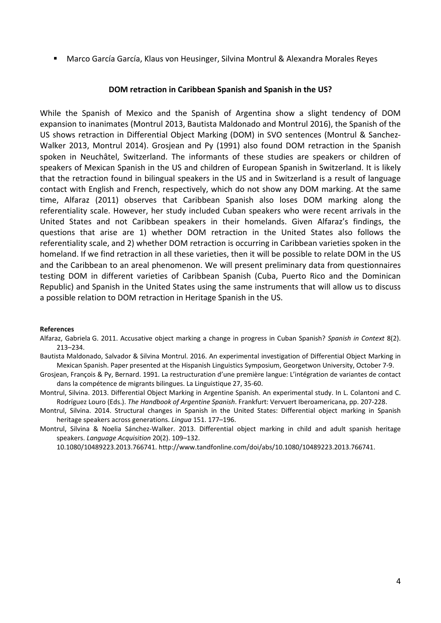Marco García García, Klaus von Heusinger, Silvina Montrul & Alexandra Morales Reyes

### **DOM retraction in Caribbean Spanish and Spanish in the US?**

While the Spanish of Mexico and the Spanish of Argentina show a slight tendency of DOM expansion to inanimates (Montrul 2013, Bautista Maldonado and Montrul 2016), the Spanish of the US shows retraction in Differential Object Marking (DOM) in SVO sentences (Montrul & Sanchez‐ Walker 2013, Montrul 2014). Grosjean and Py (1991) also found DOM retraction in the Spanish spoken in Neuchâtel, Switzerland. The informants of these studies are speakers or children of speakers of Mexican Spanish in the US and children of European Spanish in Switzerland. It is likely that the retraction found in bilingual speakers in the US and in Switzerland is a result of language contact with English and French, respectively, which do not show any DOM marking. At the same time, Alfaraz (2011) observes that Caribbean Spanish also loses DOM marking along the referentiality scale. However, her study included Cuban speakers who were recent arrivals in the United States and not Caribbean speakers in their homelands. Given Alfaraz's findings, the questions that arise are 1) whether DOM retraction in the United States also follows the referentiality scale, and 2) whether DOM retraction is occurring in Caribbean varieties spoken in the homeland. If we find retraction in all these varieties, then it will be possible to relate DOM in the US and the Caribbean to an areal phenomenon. We will present preliminary data from questionnaires testing DOM in different varieties of Caribbean Spanish (Cuba, Puerto Rico and the Dominican Republic) and Spanish in the United States using the same instruments that will allow us to discuss a possible relation to DOM retraction in Heritage Spanish in the US.

#### **References**

- Alfaraz, Gabriela G. 2011. Accusative object marking a change in progress in Cuban Spanish? *Spanish in Context* 8(2). 213–234.
- Bautista Maldonado, Salvador & Silvina Montrul. 2016. An experimental investigation of Differential Object Marking in Mexican Spanish. Paper presented at the Hispanish Linguistics Symposium, Georgetwon University, October 7‐9.
- Grosjean, François & Py, Bernard. 1991. La restructuration d'une première langue: L'intégration de variantes de contact dans la compétence de migrants bilingues. La Linguistique 27, 35‐60.
- Montrul, Silvina. 2013. Differential Object Marking in Argentine Spanish. An experimental study. In L. Colantoni and C. Rodríguez Louro (Eds.). *The Handbook of Argentine Spanish*. Frankfurt: Vervuert Iberoamericana, pp. 207‐228.

Montrul, Silvina. 2014. Structural changes in Spanish in the United States: Differential object marking in Spanish heritage speakers across generations. *Lingua* 151. 177–196.

Montrul, Silvina & Noelia Sánchez‐Walker. 2013. Differential object marking in child and adult spanish heritage speakers. *Language Acquisition* 20(2). 109–132.

10.1080/10489223.2013.766741. http://www.tandfonline.com/doi/abs/10.1080/10489223.2013.766741.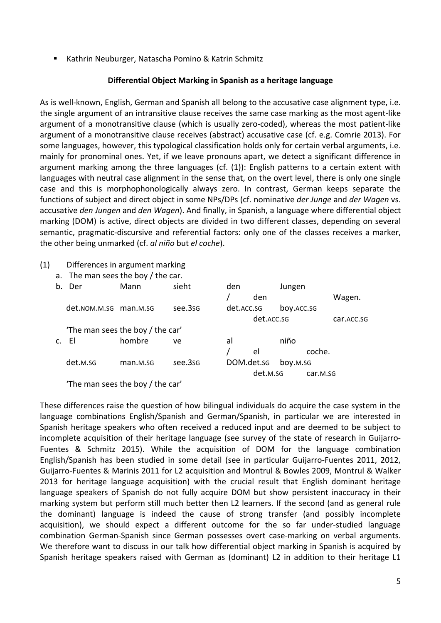■ Kathrin Neuburger, Natascha Pomino & Katrin Schmitz

## **Differential Object Marking in Spanish as a heritage language**

As is well‐known, English, German and Spanish all belong to the accusative case alignment type, i.e. the single argument of an intransitive clause receives the same case marking as the most agent‐like argument of a monotransitive clause (which is usually zero‐coded), whereas the most patient‐like argument of a monotransitive clause receives (abstract) accusative case (cf. e.g. Comrie 2013). For some languages, however, this typological classification holds only for certain verbal arguments, i.e. mainly for pronominal ones. Yet, if we leave pronouns apart, we detect a significant difference in argument marking among the three languages (cf. (1)): English patterns to a certain extent with languages with neutral case alignment in the sense that, on the overt level, there is only one single case and this is morphophonologically always zero. In contrast, German keeps separate the functions of subject and direct object in some NPs/DPs (cf. nominative *der Junge* and *der Wagen* vs. accusative *den Jungen* and *den Wagen*). And finally, in Spanish, a language where differential object marking (DOM) is active, direct objects are divided in two different classes, depending on several semantic, pragmatic‐discursive and referential factors: only one of the classes receives a marker, the other being unmarked (cf. *al niño* but *el coche*).

(1) Differences in argument marking

| a. The man sees the boy / the car. |
|------------------------------------|
|------------------------------------|

| b.             | Der                              | Mann     | sieht   | den        |            | Jungen     |          |            |
|----------------|----------------------------------|----------|---------|------------|------------|------------|----------|------------|
|                |                                  |          |         |            | den        |            |          | Wagen.     |
|                | det.nom.m.sg man.m.sg            |          | see.3sg | det.ACC.SG |            | boy.ACC.SG |          |            |
|                |                                  |          |         |            | det.ACC.SG |            |          | car.ACC.SG |
|                | 'The man sees the boy / the car' |          |         |            |            |            |          |            |
| $\mathsf{c}$ . | FI.                              | hombre   | ve      | al         |            | niño       |          |            |
|                |                                  |          |         |            | el         | coche.     |          |            |
|                | det.M.SG                         | man.M.SG | see.3sg | DOM.det.sg |            | boy.m.sg   |          |            |
|                |                                  |          |         | det.M.SG   |            |            | car.M.SG |            |
|                |                                  |          |         |            |            |            |          |            |

'The man sees the boy / the car'

These differences raise the question of how bilingual individuals do acquire the case system in the language combinations English/Spanish and German/Spanish, in particular we are interested in Spanish heritage speakers who often received a reduced input and are deemed to be subject to incomplete acquisition of their heritage language (see survey of the state of research in Guijarro‐ Fuentes & Schmitz 2015). While the acquisition of DOM for the language combination English/Spanish has been studied in some detail (see in particular Guijarro‐Fuentes 2011, 2012, Guijarro‐Fuentes & Marinis 2011 for L2 acquisition and Montrul & Bowles 2009, Montrul & Walker 2013 for heritage language acquisition) with the crucial result that English dominant heritage language speakers of Spanish do not fully acquire DOM but show persistent inaccuracy in their marking system but perform still much better then L2 learners. If the second (and as general rule the dominant) language is indeed the cause of strong transfer (and possibly incomplete acquisition), we should expect a different outcome for the so far under-studied language combination German-Spanish since German possesses overt case-marking on verbal arguments. We therefore want to discuss in our talk how differential object marking in Spanish is acquired by Spanish heritage speakers raised with German as (dominant) L2 in addition to their heritage L1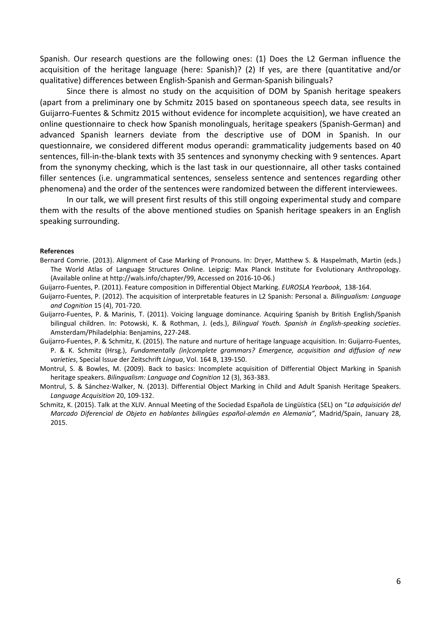Spanish. Our research questions are the following ones: (1) Does the L2 German influence the acquisition of the heritage language (here: Spanish)? (2) If yes, are there (quantitative and/or qualitative) differences between English‐Spanish and German‐Spanish bilinguals?

Since there is almost no study on the acquisition of DOM by Spanish heritage speakers (apart from a preliminary one by Schmitz 2015 based on spontaneous speech data, see results in Guijarro‐Fuentes & Schmitz 2015 without evidence for incomplete acquisition), we have created an online questionnaire to check how Spanish monolinguals, heritage speakers (Spanish‐German) and advanced Spanish learners deviate from the descriptive use of DOM in Spanish. In our questionnaire, we considered different modus operandi: grammaticality judgements based on 40 sentences, fill-in-the-blank texts with 35 sentences and synonymy checking with 9 sentences. Apart from the synonymy checking, which is the last task in our questionnaire, all other tasks contained filler sentences (i.e. ungrammatical sentences, senseless sentence and sentences regarding other phenomena) and the order of the sentences were randomized between the different interviewees.

In our talk, we will present first results of this still ongoing experimental study and compare them with the results of the above mentioned studies on Spanish heritage speakers in an English speaking surrounding.

#### **References**

- Bernard Comrie. (2013). Alignment of Case Marking of Pronouns. In: Dryer, Matthew S. & Haspelmath, Martin (eds.) The World Atlas of Language Structures Online. Leipzig: Max Planck Institute for Evolutionary Anthropology. (Available online at http://wals.info/chapter/99, Accessed on 2016‐10‐06.)
- Guijarro‐Fuentes, P. (2011). Feature composition in Differential Object Marking. *EUROSLA Yearbook*, 138‐164.
- Guijarro‐Fuentes, P. (2012). The acquisition of interpretable features in L2 Spanish: Personal a*. Bilingualism: Language and Cognition* 15 (4), 701‐720.
- Guijarro‐Fuentes, P. & Marinis, T. (2011). Voicing language dominance. Acquiring Spanish by British English/Spanish bilingual children. In: Potowski, K. & Rothman, J. (eds.), *Bilingual Youth. Spanish in English‐speaking societies*. Amsterdam/Philadelphia: Benjamins, 227‐248.
- Guijarro‐Fuentes, P. & Schmitz, K. (2015). The nature and nurture of heritage language acquisition. In: Guijarro‐Fuentes, P. & K. Schmitz (Hrsg.), *Fundamentally (in)complete grammars? Emergence, acquisition and diffusion of new varieties*, Special Issue der Zeitschrift *Lingua*, Vol. 164 B, 139‐150.
- Montrul, S. & Bowles, M. (2009). Back to basics: Incomplete acquisition of Differential Object Marking in Spanish heritage speakers. *Bilingualism: Language and Cognition* 12 (3), 363‐383.
- Montrul, S. & Sánchez‐Walker, N. (2013). Differential Object Marking in Child and Adult Spanish Heritage Speakers. *Language Acquisition* 20, 109‐132.
- Schmitz, K. (2015). Talk at the XLIV. Annual Meeting of the Sociedad Española de Lingüística (SEL) on "*La adquisición del Marcado Diferencial de Objeto en hablantes bilingües español‐alemán en Alemania"*, Madrid/Spain, January 28, 2015.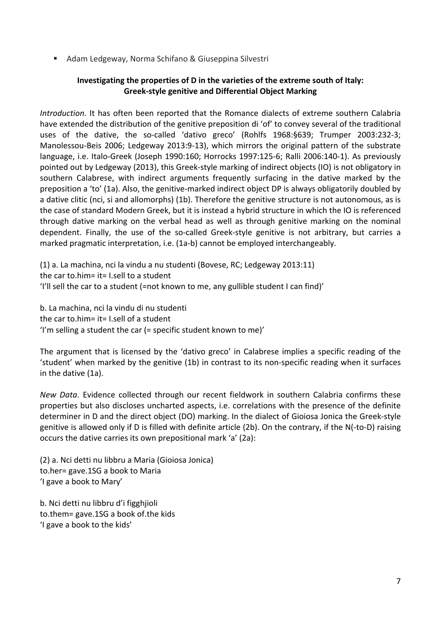Adam Ledgeway, Norma Schifano & Giuseppina Silvestri

## **Investigating the properties of D in the varieties of the extreme south of Italy: Greek‐style genitive and Differential Object Marking**

*Introduction*. It has often been reported that the Romance dialects of extreme southern Calabria have extended the distribution of the genitive preposition di 'of' to convey several of the traditional uses of the dative, the so-called 'dativo greco' (Rohlfs 1968:§639; Trumper 2003:232-3; Manolessou‐Beis 2006; Ledgeway 2013:9‐13), which mirrors the original pattern of the substrate language, i.e. Italo‐Greek (Joseph 1990:160; Horrocks 1997:125‐6; Ralli 2006:140‐1). As previously pointed out by Ledgeway (2013), this Greek‐style marking of indirect objects (IO) is not obligatory in southern Calabrese, with indirect arguments frequently surfacing in the dative marked by the preposition a 'to' (1a). Also, the genitive‐marked indirect object DP is always obligatorily doubled by a dative clitic (nci, si and allomorphs) (1b). Therefore the genitive structure is not autonomous, as is the case of standard Modern Greek, but it is instead a hybrid structure in which the IO is referenced through dative marking on the verbal head as well as through genitive marking on the nominal dependent. Finally, the use of the so‐called Greek‐style genitive is not arbitrary, but carries a marked pragmatic interpretation, i.e. (1a‐b) cannot be employed interchangeably.

(1) a. La machina, nci la vindu a nu studenti (Bovese, RC; Ledgeway 2013:11) the car to.him= it= I.sell to a student 'I'll sell the car to a student (=not known to me, any gullible student I can find)'

b. La machina, nci la vindu di nu studenti the car to.him= it= I.sell of a student 'I'm selling a student the car (= specific student known to me)'

The argument that is licensed by the 'dativo greco' in Calabrese implies a specific reading of the 'student' when marked by the genitive (1b) in contrast to its non‐specific reading when it surfaces in the dative (1a).

*New Data*. Evidence collected through our recent fieldwork in southern Calabria confirms these properties but also discloses uncharted aspects, i.e. correlations with the presence of the definite determiner in D and the direct object (DO) marking. In the dialect of Gioiosa Jonica the Greek‐style genitive is allowed only if D is filled with definite article (2b). On the contrary, if the N(‐to‐D) raising occurs the dative carries its own prepositional mark 'a' (2a):

(2) a. Nci detti nu libbru a Maria (Gioiosa Jonica) to.her= gave.1SG a book to Maria 'I gave a book to Mary'

b. Nci detti nu libbru d'i figghjioli to.them= gave.1SG a book of.the kids 'I gave a book to the kids'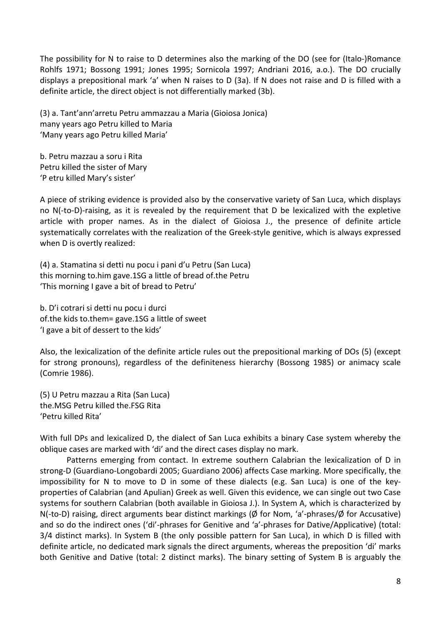The possibility for N to raise to D determines also the marking of the DO (see for (Italo‐)Romance Rohlfs 1971; Bossong 1991; Jones 1995; Sornicola 1997; Andriani 2016, a.o.). The DO crucially displays a prepositional mark 'a' when N raises to D (3a). If N does not raise and D is filled with a definite article, the direct object is not differentially marked (3b).

(3) a. Tant'ann'arretu Petru ammazzau a Maria (Gioiosa Jonica) many years ago Petru killed to Maria 'Many years ago Petru killed Maria'

b. Petru mazzau a soru i Rita Petru killed the sister of Mary 'P etru killed Mary's sister'

A piece of striking evidence is provided also by the conservative variety of San Luca, which displays no N(‐to‐D)‐raising, as it is revealed by the requirement that D be lexicalized with the expletive article with proper names. As in the dialect of Gioiosa J., the presence of definite article systematically correlates with the realization of the Greek‐style genitive, which is always expressed when D is overtly realized:

(4) a. Stamatina si detti nu pocu i pani d'u Petru (San Luca) this morning to.him gave.1SG a little of bread of.the Petru 'This morning I gave a bit of bread to Petru'

b. D'i cotrari si detti nu pocu i durci of.the kids to.them= gave.1SG a little of sweet 'I gave a bit of dessert to the kids'

Also, the lexicalization of the definite article rules out the prepositional marking of DOs (5) (except for strong pronouns), regardless of the definiteness hierarchy (Bossong 1985) or animacy scale (Comrie 1986).

(5) U Petru mazzau a Rita (San Luca) the.MSG Petru killed the.FSG Rita 'Petru killed Rita'

With full DPs and lexicalized D, the dialect of San Luca exhibits a binary Case system whereby the oblique cases are marked with 'di' and the direct cases display no mark.

Patterns emerging from contact. In extreme southern Calabrian the lexicalization of D in strong‐D (Guardiano‐Longobardi 2005; Guardiano 2006) affects Case marking. More specifically, the impossibility for N to move to D in some of these dialects (e.g. San Luca) is one of the key‐ properties of Calabrian (and Apulian) Greek as well. Given this evidence, we can single out two Case systems for southern Calabrian (both available in Gioiosa J.). In System A, which is characterized by N(‐to‐D) raising, direct arguments bear distinct markings (Ø for Nom, 'a'‐phrases/Ø for Accusative) and so do the indirect ones ('di'‐phrases for Genitive and 'a'‐phrases for Dative/Applicative) (total: 3/4 distinct marks). In System B (the only possible pattern for San Luca), in which D is filled with definite article, no dedicated mark signals the direct arguments, whereas the preposition 'di' marks both Genitive and Dative (total: 2 distinct marks). The binary setting of System B is arguably the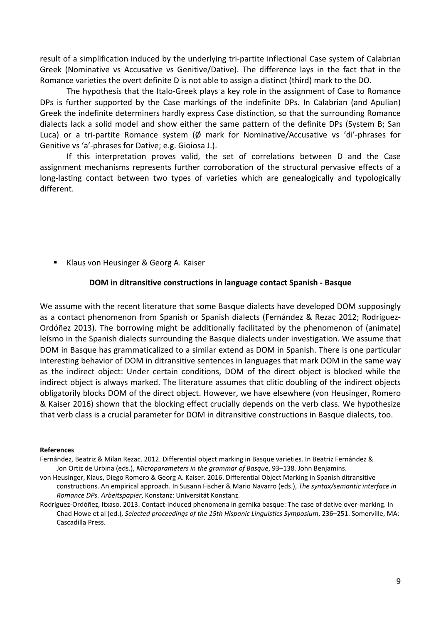result of a simplification induced by the underlying tri‐partite inflectional Case system of Calabrian Greek (Nominative vs Accusative vs Genitive/Dative). The difference lays in the fact that in the Romance varieties the overt definite D is not able to assign a distinct (third) mark to the DO.

The hypothesis that the Italo‐Greek plays a key role in the assignment of Case to Romance DPs is further supported by the Case markings of the indefinite DPs. In Calabrian (and Apulian) Greek the indefinite determiners hardly express Case distinction, so that the surrounding Romance dialects lack a solid model and show either the same pattern of the definite DPs (System B; San Luca) or a tri-partite Romance system (Ø mark for Nominative/Accusative vs 'di'-phrases for Genitive vs 'a'‐phrases for Dative; e.g. Gioiosa J.).

If this interpretation proves valid, the set of correlations between D and the Case assignment mechanisms represents further corroboration of the structural pervasive effects of a long-lasting contact between two types of varieties which are genealogically and typologically different.

Klaus von Heusinger & Georg A. Kaiser

#### **DOM in ditransitive constructions in language contact Spanish ‐ Basque**

We assume with the recent literature that some Basque dialects have developed DOM supposingly as a contact phenomenon from Spanish or Spanish dialects (Fernández & Rezac 2012; Rodríguez‐ Ordóñez 2013). The borrowing might be additionally facilitated by the phenomenon of (animate) leísmo in the Spanish dialects surrounding the Basque dialects under investigation. We assume that DOM in Basque has grammaticalized to a similar extend as DOM in Spanish. There is one particular interesting behavior of DOM in ditransitive sentences in languages that mark DOM in the same way as the indirect object: Under certain conditions, DOM of the direct object is blocked while the indirect object is always marked. The literature assumes that clitic doubling of the indirect objects obligatorily blocks DOM of the direct object. However, we have elsewhere (von Heusinger, Romero & Kaiser 2016) shown that the blocking effect crucially depends on the verb class. We hypothesize that verb class is a crucial parameter for DOM in ditransitive constructions in Basque dialects, too.

#### **References**

Fernández, Beatriz & Milan Rezac. 2012. Differential object marking in Basque varieties. In Beatriz Fernández & Jon Ortiz de Urbina (eds.), *Microparameters in the grammar of Basque*, 93–138. John Benjamins.

- von Heusinger, Klaus, Diego Romero & Georg A. Kaiser. 2016. Differential Object Marking in Spanish ditransitive constructions. An empirical approach. In Susann Fischer & Mario Navarro (eds.), *The syntax/semantic interface in Romance DPs. Arbeitspapier*, Konstanz: Universität Konstanz.
- Rodríguez‐Ordóñez, Itxaso. 2013. Contact‐induced phenomena in gernika basque: The case of dative over‐marking. In Chad Howe et al (ed.), *Selected proceedings of the 15th Hispanic Linguistics Symposium*, 236–251. Somerville, MA: Cascadilla Press.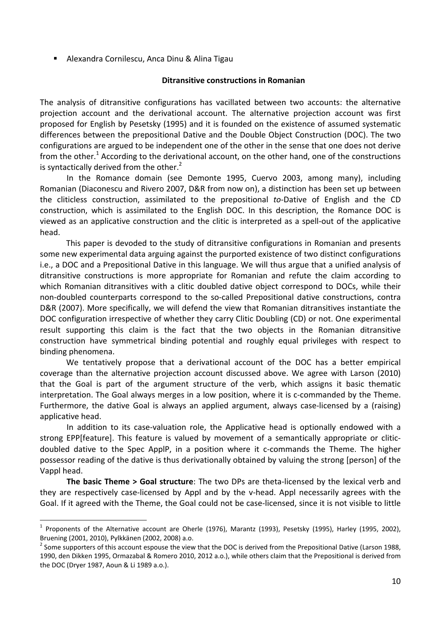Alexandra Cornilescu, Anca Dinu & Alina Tigau

## **Ditransitive constructions in Romanian**

The analysis of ditransitive configurations has vacillated between two accounts: the alternative projection account and the derivational account. The alternative projection account was first proposed for English by Pesetsky (1995) and it is founded on the existence of assumed systematic differences between the prepositional Dative and the Double Object Construction (DOC). The two configurations are argued to be independent one of the other in the sense that one does not derive from the other.<sup>1</sup> According to the derivational account, on the other hand, one of the constructions is syntactically derived from the other. $2$ 

In the Romance domain (see Demonte 1995, Cuervo 2003, among many), including Romanian (Diaconescu and Rivero 2007, D&R from now on), a distinction has been set up between the cliticless construction, assimilated to the prepositional *to‐*Dative of English and the CD construction, which is assimilated to the English DOC. In this description, the Romance DOC is viewed as an applicative construction and the clitic is interpreted as a spell‐out of the applicative head.

This paper is devoded to the study of ditransitive configurations in Romanian and presents some new experimental data arguing against the purported existence of two distinct configurations i.e., a DOC and a Prepositional Dative in this language. We will thus argue that a unified analysis of ditransitive constructions is more appropriate for Romanian and refute the claim according to which Romanian ditransitives with a clitic doubled dative object correspond to DOCs, while their non-doubled counterparts correspond to the so-called Prepositional dative constructions, contra D&R (2007). More specifically, we will defend the view that Romanian ditransitives instantiate the DOC configuration irrespective of whether they carry Clitic Doubling (CD) or not. One experimental result supporting this claim is the fact that the two objects in the Romanian ditransitive construction have symmetrical binding potential and roughly equal privileges with respect to binding phenomena.

We tentatively propose that a derivational account of the DOC has a better empirical coverage than the alternative projection account discussed above. We agree with Larson (2010) that the Goal is part of the argument structure of the verb, which assigns it basic thematic interpretation. The Goal always merges in a low position, where it is c-commanded by the Theme. Furthermore, the dative Goal is always an applied argument, always case-licensed by a (raising) applicative head.

In addition to its case-valuation role, the Applicative head is optionally endowed with a strong EPP[feature]. This feature is valued by movement of a semantically appropriate or clitic‐ doubled dative to the Spec ApplP, in a position where it c‐commands the Theme. The higher possessor reading of the dative is thus derivationally obtained by valuing the strong [person] of the Vappl head.

**The basic Theme > Goal structure**: The two DPs are theta‐licensed by the lexical verb and they are respectively case‐licensed by Appl and by the v‐head. Appl necessarily agrees with the Goal. If it agreed with the Theme, the Goal could not be case‐licensed, since it is not visible to little

1

<sup>&</sup>lt;sup>1</sup> Proponents of the Alternative account are Oherle (1976), Marantz (1993), Pesetsky (1995), Harley (1995, 2002), Bruening (2001, 2010), Pylkkänen (2002, 2008) a.o.<br><sup>2</sup> Some supporters of this account espouse the view that the DOC is derived from the Prepositional Dative (Larson 1988,

<sup>1990,</sup> den Dikken 1995, Ormazabal & Romero 2010, 2012 a.o.), while others claim that the Prepositional is derived from the DOC (Dryer 1987, Aoun & Li 1989 a.o.).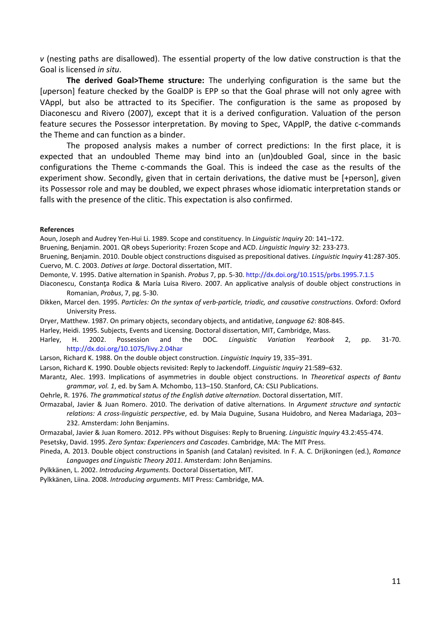*v* (nesting paths are disallowed). The essential property of the low dative construction is that the Goal is licensed *in situ*.

**The derived Goal>Theme structure:** The underlying configuration is the same but the [*u*person] feature checked by the GoalDP is EPP so that the Goal phrase will not only agree with VAppl, but also be attracted to its Specifier. The configuration is the same as proposed by Diaconescu and Rivero (2007), except that it is a derived configuration. Valuation of the person feature secures the Possessor interpretation. By moving to Spec, VApplP, the dative c-commands the Theme and can function as a binder.

The proposed analysis makes a number of correct predictions: In the first place, it is expected that an undoubled Theme may bind into an (un)doubled Goal, since in the basic configurations the Theme c‐commands the Goal. This is indeed the case as the results of the experiment show. Secondly, given that in certain derivations, the dative must be [+person], given its Possessor role and may be doubled, we expect phrases whose idiomatic interpretation stands or falls with the presence of the clitic. This expectation is also confirmed.

#### **References**

Aoun, Joseph and Audrey Yen‐Hui Li. 1989. Scope and constituency. In *Linguistic Inquiry* 20: 141–172.

Bruening, Benjamin. 2001. QR obeys Superiority: Frozen Scope and ACD. *Linguistic Inquiry* 32: 233‐273.

Bruening, Benjamin. 2010. Double object constructions disguised as prepositional datives. *Linguistic Inquiry* 41:287‐305. Cuervo, M. C. 2003. *Datives at large*. Doctoral dissertation, MIT.

Demonte, V. 1995. Dative alternation in Spanish. *Probus* 7, pp. 5‐30. http://dx.doi.org/10.1515/prbs.1995.7.1.5

Diaconescu, Constanţa Rodica & María Luisa Rivero. 2007. An applicative analysis of double object constructions in Romanian, *Probus*, 7, pg. 5‐30.

- Dikken, Marcel den. 1995. *Particles: On the syntax of verb‐particle, triadic, and causative constructions*. Oxford: Oxford University Press.
- Dryer, Matthew. 1987. On primary objects, secondary objects, and antidative, *Language 62*: 808‐845.
- Harley, Heidi. 1995. Subjects, Events and Licensing. Doctoral dissertation, MIT, Cambridge, Mass.

Harley, H. 2002. Possession and the DOC*. Linguistic Variation Yearbook* 2, pp. 31‐70. http://dx.doi.org/10.1075/livy.2.04har

Larson, Richard K. 1988. On the double object construction. *Linguistic Inquiry* 19, 335–391.

Larson, Richard K. 1990. Double objects revisited: Reply to Jackendoff. *Linguistic Inquiry* 21:589–632.

Marantz, Alec. 1993. Implications of asymmetries in double object constructions. In *Theoretical aspects of Bantu grammar, vol. 1*, ed. by Sam A. Mchombo, 113–150. Stanford, CA: CSLI Publications.

Oehrle, R. 1976. *The grammatical status of the English dative alternation*. Doctoral dissertation, MIT.

Ormazabal, Javier & Juan Romero. 2010. The derivation of dative alternations. In *Argument structure and syntactic relations: A cross‐linguistic perspective*, ed. by Maia Duguine, Susana Huidobro, and Nerea Madariaga, 203–

232. Amsterdam: John Benjamins.

Ormazabal, Javier & Juan Romero. 2012. PPs without Disguises: Reply to Bruening. *Linguistic Inquiry* 43.2:455‐474.

Pesetsky, David. 1995. *Zero Syntax: Experiencers and Cascades*. Cambridge, MA: The MIT Press.

Pineda, A. 2013. Double object constructions in Spanish (and Catalan) revisited. In F. A. C. Drijkoningen (ed.), *Romance Languages and Linguistic Theory 2011*. Amsterdam: John Benjamins.

Pylkkänen, L. 2002. *Introducing Arguments.* Doctoral Dissertation, MIT.

Pylkkänen, Liina. 2008. *Introducing arguments*. MIT Press: Cambridge, MA.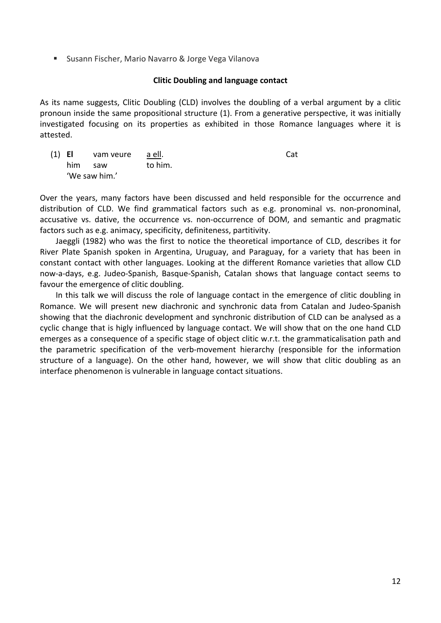■ Susann Fischer, Mario Navarro & Jorge Vega Vilanova

## **Clitic Doubling and language contact**

As its name suggests, Clitic Doubling (CLD) involves the doubling of a verbal argument by a clitic pronoun inside the same propositional structure (1). From a generative perspective, it was initially investigated focusing on its properties as exhibited in those Romance languages where it is attested.

(1) **El** vam veure a ell. Cat him saw to him. 'We saw him.'

Over the years, many factors have been discussed and held responsible for the occurrence and distribution of CLD. We find grammatical factors such as e.g. pronominal vs. non‐pronominal, accusative vs. dative, the occurrence vs. non‐occurrence of DOM, and semantic and pragmatic factors such as e.g. animacy, specificity, definiteness, partitivity.

Jaeggli (1982) who was the first to notice the theoretical importance of CLD, describes it for River Plate Spanish spoken in Argentina, Uruguay, and Paraguay, for a variety that has been in constant contact with other languages. Looking at the different Romance varieties that allow CLD now‐a‐days, e.g. Judeo‐Spanish, Basque‐Spanish, Catalan shows that language contact seems to favour the emergence of clitic doubling.

In this talk we will discuss the role of language contact in the emergence of clitic doubling in Romance. We will present new diachronic and synchronic data from Catalan and Judeo‐Spanish showing that the diachronic development and synchronic distribution of CLD can be analysed as a cyclic change that is higly influenced by language contact. We will show that on the one hand CLD emerges as a consequence of a specific stage of object clitic w.r.t. the grammaticalisation path and the parametric specification of the verb‐movement hierarchy (responsible for the information structure of a language). On the other hand, however, we will show that clitic doubling as an interface phenomenon is vulnerable in language contact situations.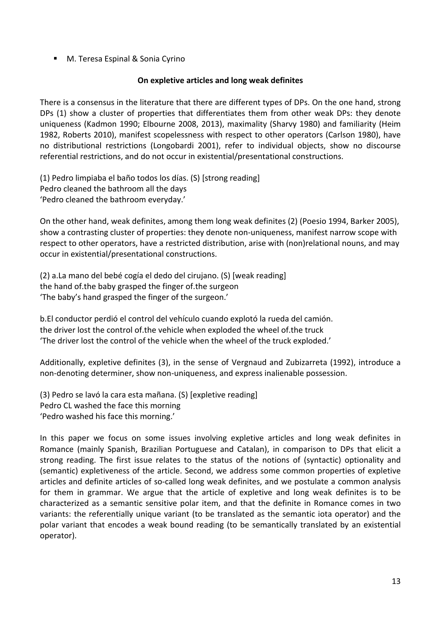■ M. Teresa Espinal & Sonia Cyrino

## **On expletive articles and long weak definites**

There is a consensus in the literature that there are different types of DPs. On the one hand, strong DPs (1) show a cluster of properties that differentiates them from other weak DPs: they denote uniqueness (Kadmon 1990; Elbourne 2008, 2013), maximality (Sharvy 1980) and familiarity (Heim 1982, Roberts 2010), manifest scopelessness with respect to other operators (Carlson 1980), have no distributional restrictions (Longobardi 2001), refer to individual objects, show no discourse referential restrictions, and do not occur in existential/presentational constructions.

(1) Pedro limpiaba el baño todos los días. (S) [strong reading] Pedro cleaned the bathroom all the days 'Pedro cleaned the bathroom everyday.'

On the other hand, weak definites, among them long weak definites (2) (Poesio 1994, Barker 2005), show a contrasting cluster of properties: they denote non‐uniqueness, manifest narrow scope with respect to other operators, have a restricted distribution, arise with (non)relational nouns, and may occur in existential/presentational constructions.

(2) a.La mano del bebé cogía el dedo del cirujano. (S) [weak reading] the hand of.the baby grasped the finger of.the surgeon 'The baby's hand grasped the finger of the surgeon.'

b.El conductor perdió el control del vehículo cuando explotó la rueda del camión. the driver lost the control of.the vehicle when exploded the wheel of.the truck 'The driver lost the control of the vehicle when the wheel of the truck exploded.'

Additionally, expletive definites (3), in the sense of Vergnaud and Zubizarreta (1992), introduce a non-denoting determiner, show non-uniqueness, and express inalienable possession.

(3) Pedro se lavó la cara esta mañana. (S) [expletive reading] Pedro CL washed the face this morning 'Pedro washed his face this morning.'

In this paper we focus on some issues involving expletive articles and long weak definites in Romance (mainly Spanish, Brazilian Portuguese and Catalan), in comparison to DPs that elicit a strong reading. The first issue relates to the status of the notions of (syntactic) optionality and (semantic) expletiveness of the article. Second, we address some common properties of expletive articles and definite articles of so-called long weak definites, and we postulate a common analysis for them in grammar. We argue that the article of expletive and long weak definites is to be characterized as a semantic sensitive polar item, and that the definite in Romance comes in two variants: the referentially unique variant (to be translated as the semantic iota operator) and the polar variant that encodes a weak bound reading (to be semantically translated by an existential operator).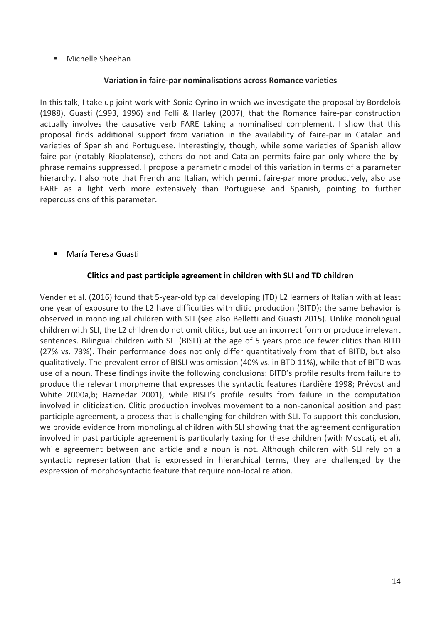**Michelle Sheehan** 

## **Variation in faire‐par nominalisations across Romance varieties**

In this talk, I take up joint work with Sonia Cyrino in which we investigate the proposal by Bordelois (1988), Guasti (1993, 1996) and Folli & Harley (2007), that the Romance faire‐par construction actually involves the causative verb FARE taking a nominalised complement. I show that this proposal finds additional support from variation in the availability of faire‐par in Catalan and varieties of Spanish and Portuguese. Interestingly, though, while some varieties of Spanish allow faire-par (notably Rioplatense), others do not and Catalan permits faire-par only where the byphrase remains suppressed. I propose a parametric model of this variation in terms of a parameter hierarchy. I also note that French and Italian, which permit faire-par more productively, also use FARE as a light verb more extensively than Portuguese and Spanish, pointing to further repercussions of this parameter.

María Teresa Guasti

## **Clitics and past participle agreement in children with SLI and TD children**

Vender et al. (2016) found that 5‐year‐old typical developing (TD) L2 learners of Italian with at least one year of exposure to the L2 have difficulties with clitic production (BITD); the same behavior is observed in monolingual children with SLI (see also Belletti and Guasti 2015). Unlike monolingual children with SLI, the L2 children do not omit clitics, but use an incorrect form or produce irrelevant sentences. Bilingual children with SLI (BISLI) at the age of 5 years produce fewer clitics than BITD (27% vs. 73%). Their performance does not only differ quantitatively from that of BITD, but also qualitatively. The prevalent error of BISLI was omission (40% vs. in BTD 11%), while that of BITD was use of a noun. These findings invite the following conclusions: BITD's profile results from failure to produce the relevant morpheme that expresses the syntactic features (Lardière 1998; Prévost and White 2000a,b; Haznedar 2001), while BISLI's profile results from failure in the computation involved in cliticization. Clitic production involves movement to a non‐canonical position and past participle agreement, a process that is challenging for children with SLI. To support this conclusion, we provide evidence from monolingual children with SLI showing that the agreement configuration involved in past participle agreement is particularly taxing for these children (with Moscati, et al), while agreement between and article and a noun is not. Although children with SLI rely on a syntactic representation that is expressed in hierarchical terms, they are challenged by the expression of morphosyntactic feature that require non‐local relation.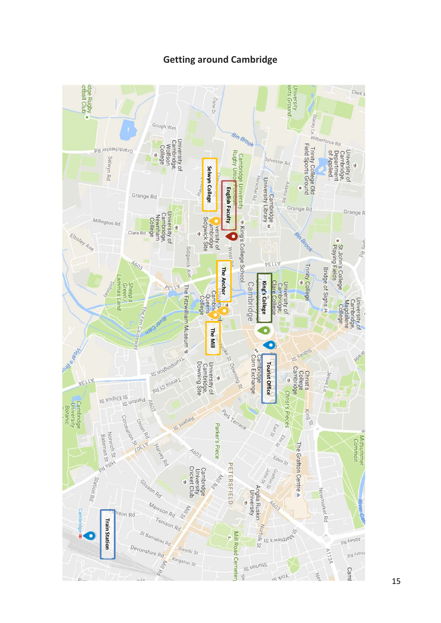# **Getting around Cambridge**